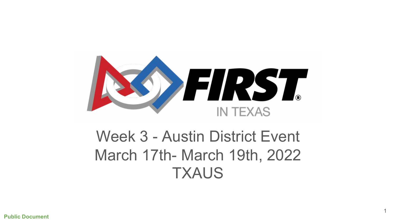

## Week 3 - Austin District Event March 17th- March 19th, 2022 **TXAUS**

1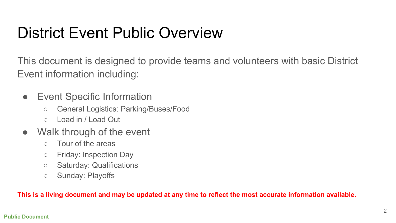### District Event Public Overview

This document is designed to provide teams and volunteers with basic District Event information including:

- Event Specific Information
	- General Logistics: Parking/Buses/Food
	- Load in / Load Out
- Walk through of the event
	- Tour of the areas
	- Friday: Inspection Day
	- Saturday: Qualifications
	- Sunday: Playoffs

**This is a living document and may be updated at any time to reflect the most accurate information available.**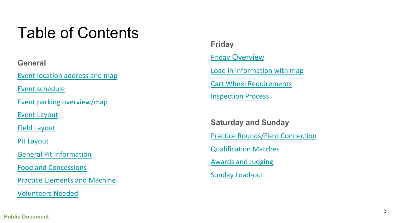### Table of Contents

**General**

[Event location address and map](#page-3-0)

[Event schedule](#page-4-0)

[Event parking overview/map](#page-6-0)

[Event Layout](#page-7-0)

[Field Layout](#page-9-0)

[Pit Layout](#page-10-0)

[General Pit Information](#page-11-0)

[Food and Concessions](#page-12-0)

[Practice Elements and Machine](#page-13-0)

[Volunteers Needed](#page-14-0)

**Friday** Friday [Overview](#page-15-0) [Load in information with map](#page-16-0) [Cart Wheel Requirements](#page-18-0) [Inspection Process](#page-19-0)

**Saturday and Sunday** [Practice Rounds/Field Connection](#page-20-0) [Qualification Matches](#page-21-0) [Awards and Judging](#page-22-0) [Sunday Load](#page-23-0) -out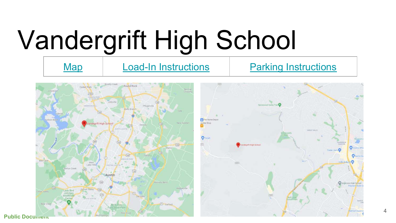# Vandergrift High School

<span id="page-3-0"></span>



Critic & Ba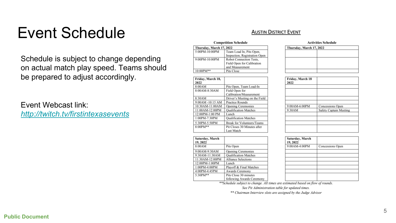#### Event Schedule

Schedule is subject to change depending on actual match play speed. Teams should be prepared to adjust accordingly.

#### Event Webcast link:

*<http://twitch.tv/firstintexasevents>*

#### **AUSTIN DISTRICT EVENT**

<span id="page-4-0"></span>

|                | Competition Schedule     |                               |  |  |
|----------------|--------------------------|-------------------------------|--|--|
|                | Thursday, March 17, 2022 |                               |  |  |
| 5:00PM-10:00PM |                          | Team Load In, Pits Open,      |  |  |
|                |                          | Inspection, Registration Open |  |  |
|                | 9:00PM-10:00PM           | Robot Connection Tests.       |  |  |
|                |                          | Field Open for Calibration    |  |  |
|                |                          | and Measurement               |  |  |
|                | 10:00PM**                | Pits Close                    |  |  |

 $-1$ 

 $\sim$   $\sim$   $\sim$   $\sim$ 

| Friday, March 18,<br>2022 |                                   |
|---------------------------|-----------------------------------|
| 8:00AM                    | Pits Open, Team Load-In           |
| 8:00AM-8:30AM             | Field Open for                    |
|                           | Calibration/Measurement           |
| 8:30AM                    | Driver's Meeting on the Field     |
| 9:00AM -10:15 AM          | <b>Practice Rounds</b>            |
| 10:30AM-11:00AM           | <b>Opening Ceremonies</b>         |
| 11:00 AM-12:00 PM         | <b>Qualification Matches</b>      |
| 12:00PM-1:00 PM           | Lunch                             |
| 1:00PM-7:30PM             | <b>Qualification Matches</b>      |
| 5:30PM-5:50PM             | <b>Break for Volunteers/Teams</b> |
| 8:00PM**                  | Pit Closes 30 Minutes after       |
|                           | <b>Last Match</b>                 |

| 8:00PM**        | Pit Closes 30 Minutes after  |  |
|-----------------|------------------------------|--|
|                 | <b>Last Match</b>            |  |
|                 |                              |  |
| Saturday, March |                              |  |
| 19, 2022        |                              |  |
| 8:00AM          | Pits Open                    |  |
| 9:00AM-9:30AM   | <b>Opening Ceremonies</b>    |  |
| 9:30AM-11:30AM  | <b>Qualification Matches</b> |  |
| 11:30AM-12:00PM | <b>Alliance Selections</b>   |  |
| 12:00PM-1:00PM  | Lunch                        |  |
| 1:00PM-4:00PM   | Playoff & Final Matches      |  |
| 4:00PM-4:45PM   | Awards Ceremony              |  |
| 5:30PM**        | Pits Close 30 minutes        |  |
|                 | following Awards Ceremony    |  |

#### **Activities Schedule** Thursday, March 17, 2022

| Friday, March 18<br>2022 |                               |
|--------------------------|-------------------------------|
|                          |                               |
|                          |                               |
|                          |                               |
| 9:00AM-6:00PM            | Concessions Open              |
| 9:30AM                   | <b>Safety Captain Meeting</b> |
|                          |                               |
|                          |                               |
|                          |                               |

| Saturday, March<br>19, 2022 |                  |
|-----------------------------|------------------|
| 9:00AM-4:00PM               | Concessions Open |
|                             |                  |
|                             |                  |
|                             |                  |
|                             |                  |
|                             |                  |
|                             |                  |
|                             |                  |

\*\*Schedule subject to change. All times are estimated based on flow of rounds.

See Pit Administration table for updated times.

\*\* Chairman Interview slots are assigned by the Judge Advisor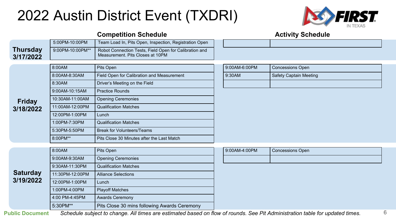#### 2022 Austin District Event (TXDRI)



#### **Competition Schedule Competition Schedule** 5:00PM-10:00PM Team Load In, Pits Open, Inspection, Registration Open 9:00PM-10:00PM\*\* | Robot Connection Tests, Field Open for Calibration and Measurement. Pits Closes at 10PM 8:00AM Pits Open 9:00AM-6:00PM Concessions Open 8:00AM-8:30AM Field Open for Calibration and Measurement 8:30AM Driver's Meeting on the Field 9:00AM-10:15AM Practice Rounds 10:30AM-11:00AM | Opening Ceremonies 11:00AM-12:00PM Qualification Matches 12:00PM-1:00PM Lunch 1:00PM-7:30PM Qualification Matches 5:30PM-5:50PM Break for Volunteers/Teams 8:00PM\*\* Pits Close 30 Minutes after the Last Match **Thursday 3/17/2022 Friday 3/18/2022**

|                 | 8:00AM          | Pits Open                                    | 9:00AM-4:00PM | <b>Concessions Open</b> |
|-----------------|-----------------|----------------------------------------------|---------------|-------------------------|
|                 |                 |                                              |               |                         |
|                 | 9:00AM-9:30AM   | <b>Opening Ceremonies</b>                    |               |                         |
|                 | 9:30AM-11:30PM  | <b>Qualification Matches</b>                 |               |                         |
| <b>Saturday</b> | 11:30PM-12:00PM | <b>Alliance Selections</b>                   |               |                         |
| 3/19/2022       | 12:00PM-1:00PM  | Lunch                                        |               |                         |
|                 | 1:00PM-4:00PM   | <b>Playoff Matches</b>                       |               |                         |
|                 | 4:00 PM-4:45PM  | <b>Awards Ceremony</b>                       |               |                         |
|                 | 5:30PM**        | Pits Close 30 mins following Awards Ceremony |               |                         |
|                 |                 |                                              |               |                         |

| 9:00AM-6:00PM | <b>Concessions Open</b>       |  |
|---------------|-------------------------------|--|
| 9:30AM        | <b>Safety Captain Meeting</b> |  |
|               |                               |  |

| 9:00AM-4:00PM | <b>Concessions Open</b> |
|---------------|-------------------------|
|               |                         |

**Public Document** *Schedule subject to change. All times are estimated based on flow of rounds. See Pit Administration table for updated times.*

6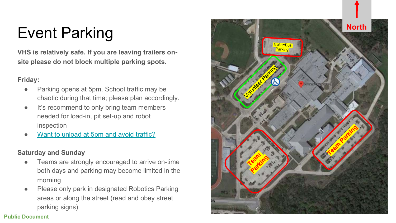### Event Parking

**VHS is relatively safe. If you are leaving trailers o n site please do not block multiple parking spots.**

#### **Friday:**

- Parking opens at 5pm. School traffic may be chaotic during that time; please plan accordingly.
- It's recommend to only bring team members needed for load-in, pit set-up and robot inspection
- [Want to unload at 5pm and avoid traffic?](#page-16-0)

#### **Saturday and Sunday**

- Teams are strongly encouraged to arrive on-time both days and parking may become limited in the morning
- Please only park in designated Robotics Parking areas or along the street (read and obey street parking signs)

<span id="page-6-0"></span>

#### **Public Document**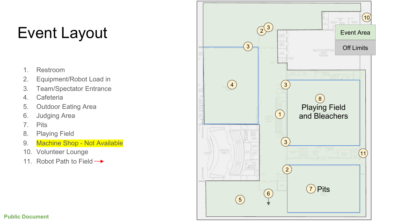### Event Layout

- 1. Restroom
- 2. Equipment/Robot Load in
- 3. Team/Spectator Entrance
- 4. Cafeteria
- 5. Outdoor Eating Area
- 6. Judging Area
- 7. Pits
- 8. Playing Field
- 9. Machine Shop Not Available
- 10. Volunteer Lounge
- 11. Robot Path to Field  $\rightarrow$

<span id="page-7-0"></span>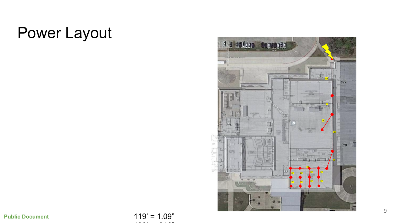#### Power Layout



 $119' = 1.09"$ 100' = .916"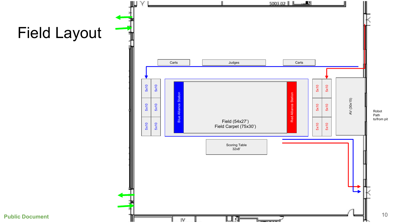<span id="page-9-0"></span>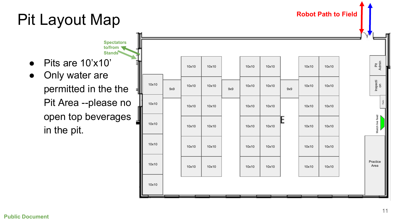### Pit Layout Map



<span id="page-10-0"></span>**Robot Path to Field**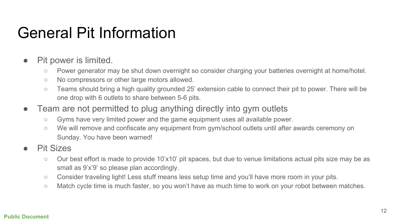#### <span id="page-11-0"></span>General Pit Information

- Pit power is limited.
	- Power generator may be shut down overnight so consider charging your batteries overnight at home/hotel.
	- No compressors or other large motors allowed.
	- Teams should bring a high quality grounded 25' extension cable to connect their pit to power. There will be one drop with 6 outlets to share between 5-6 pits.
- Team are not permitted to plug anything directly into gym outlets
	- Gyms have very limited power and the game equipment uses all available power.
	- We will remove and confiscate any equipment from gym/school outlets until after awards ceremony on Sunday. You have been warned!
- Pit Sizes
	- Our best effort is made to provide 10'x10' pit spaces, but due to venue limitations actual pits size may be as small as 9'x'9' so please plan accordingly.
	- Consider traveling light! Less stuff means less setup time and you'll have more room in your pits.
	- Match cycle time is much faster, so you won't have as much time to work on your robot between matches.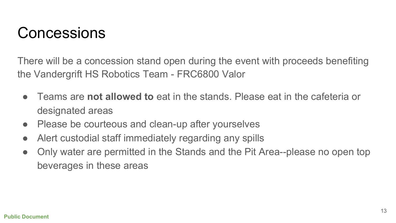#### <span id="page-12-0"></span>Concessions

There will be a concession stand open during the event with proceeds benefiting the Vandergrift HS Robotics Team - FRC6800 Valor

- Teams are **not allowed to** eat in the stands. Please eat in the cafeteria or designated areas
- Please be courteous and clean-up after yourselves
- Alert custodial staff immediately regarding any spills
- Only water are permitted in the Stands and the Pit Area--please no open top beverages in these areas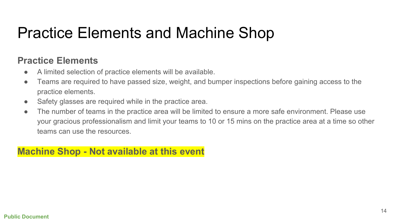### <span id="page-13-0"></span>Practice Elements and Machine Shop

#### **Practice Elements**

- A limited selection of practice elements will be available.
- Teams are required to have passed size, weight, and bumper inspections before gaining access to the practice elements.
- Safety glasses are required while in the practice area.
- The number of teams in the practice area will be limited to ensure a more safe environment. Please use your gracious professionalism and limit your teams to 10 or 15 mins on the practice area at a time so other teams can use the resources.

#### **Machine Shop - Not available at this event**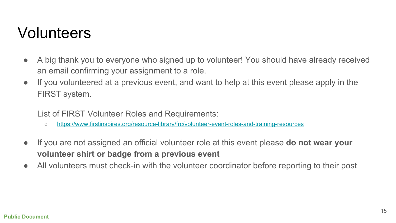#### <span id="page-14-0"></span>Volunteers

- A big thank you to everyone who signed up to volunteer! You should have already received an email confirming your assignment to a role.
- If you volunteered at a previous event, and want to help at this event please apply in the FIRST system.

List of FIRST Volunteer Roles and Requirements:

- <https://www.firstinspires.org/resource-library/frc/volunteer-event-roles-and-training-resources>
- If you are not assigned an official volunteer role at this event please **do not wear your volunteer shirt or badge from a previous event**
- All volunteers must check-in with the volunteer coordinator before reporting to their post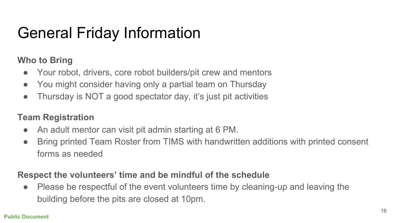## <span id="page-15-0"></span>General Friday Information

#### **Who to Bring**

- Your robot, drivers, core robot builders/pit crew and mentors
- You might consider having only a partial team on Thursday
- Thursday is NOT a good spectator day, it's just pit activities

#### **Team Registration**

- An adult mentor can visit pit admin starting at 6 PM.
- Bring printed Team Roster from TIMS with handwritten additions with printed consent forms as needed

#### **Respect the volunteers' time and be mindful of the schedule**

● Please be respectful of the event volunteers time by cleaning-up and leaving the building before the pits are closed at 10pm.

#### **Public Document**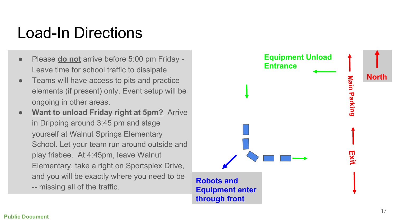#### Load-In Directions

- Please **do not** arrive before 5:00 pm Friday -Leave time for school traffic to dissipate
- Teams will have access to pits and practice elements (if present) only. Event setup will be ongoing in other areas.
- **Want to unload Friday right at 5pm?** Arrive in Dripping around 3:45 pm and stage yourself at Walnut Springs Elementary School. Let your team run around outside and play frisbee. At 4:45pm, leave Walnut Elementary, take a right on Sportsplex Drive, and you will be exactly where you need to be -- missing all of the traffic.

<span id="page-16-0"></span>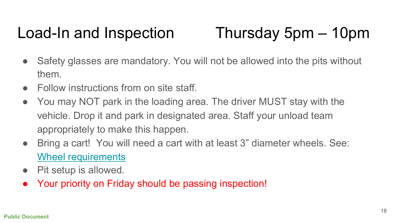### Load-In and Inspection Thursday 5pm – 10pm

- Safety glasses are mandatory. You will not be allowed into the pits without them.
- Follow instructions from on site staff.
- You may NOT park in the loading area. The driver MUST stay with the vehicle. Drop it and park in designated area. Staff your unload team appropriately to make this happen.
- Bring a cart! You will need a cart with at least 3" diameter wheels. See: [Wheel requirements](#page-18-0)
- Pit setup is allowed.
- Your priority on Friday should be passing inspection!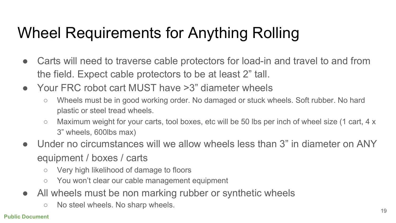## <span id="page-18-0"></span>Wheel Requirements for Anything Rolling

- Carts will need to traverse cable protectors for load-in and travel to and from the field. Expect cable protectors to be at least 2" tall.
- Your FRC robot cart MUST have >3" diameter wheels
	- Wheels must be in good working order. No damaged or stuck wheels. Soft rubber. No hard plastic or steel tread wheels.
	- Maximum weight for your carts, tool boxes, etc will be 50 lbs per inch of wheel size (1 cart, 4 x 3" wheels, 600lbs max)
- Under no circumstances will we allow wheels less than 3" in diameter on ANY equipment / boxes / carts
	- Very high likelihood of damage to floors
	- You won't clear our cable management equipment
- All wheels must be non marking rubber or synthetic wheels
	- No steel wheels. No sharp wheels.

#### **Public Document**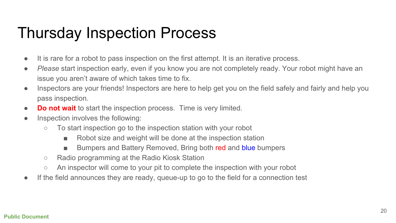### Thursday Inspection Process

- <span id="page-19-0"></span>● It is rare for a robot to pass inspection on the first attempt. It is an iterative process.
- *Please* start inspection early, even if you know you are not completely ready. Your robot might have an issue you aren't aware of which takes time to fix.
- Inspectors are your friends! Inspectors are here to help get you on the field safely and fairly and help you pass inspection.
- **Do not wait** to start the inspection process. Time is very limited.
- Inspection involves the following:
	- To start inspection go to the inspection station with your robot
		- Robot size and weight will be done at the inspection station
		- Bumpers and Battery Removed, Bring both red and blue bumpers
	- Radio programming at the Radio Kiosk Station
	- An inspector will come to your pit to complete the inspection with your robot
- If the field announces they are ready, queue-up to go to the field for a connection test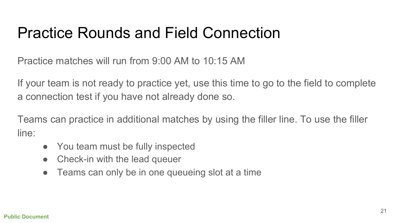### <span id="page-20-0"></span>Practice Rounds and Field Connection

Practice matches will run from 9:00 AM to 10:15 AM

If your team is not ready to practice yet, use this time to go to the field to complete a connection test if you have not already done so.

Teams can practice in additional matches by using the filler line. To use the filler line:

- You team must be fully inspected
- Check-in with the lead queuer
- Teams can only be in one queueing slot at a time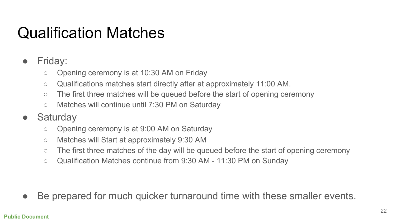### <span id="page-21-0"></span>Qualification Matches

- Friday:
	- Opening ceremony is at 10:30 AM on Friday
	- Qualifications matches start directly after at approximately 11:00 AM.
	- The first three matches will be queued before the start of opening ceremony
	- Matches will continue until 7:30 PM on Saturday
- Saturday
	- Opening ceremony is at 9:00 AM on Saturday
	- Matches will Start at approximately 9:30 AM
	- The first three matches of the day will be queued before the start of opening ceremony
	- Qualification Matches continue from 9:30 AM 11:30 PM on Sunday

• Be prepared for much quicker turnaround time with these smaller events.

#### **Public Document**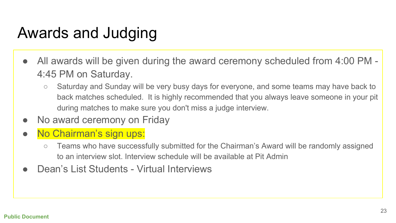### <span id="page-22-0"></span>Awards and Judging

- All awards will be given during the award ceremony scheduled from 4:00 PM -4:45 PM on Saturday.
	- Saturday and Sunday will be very busy days for everyone, and some teams may have back to back matches scheduled. It is highly recommended that you always leave someone in your pit during matches to make sure you don't miss a judge interview.
- No award ceremony on Friday
- No Chairman's sign ups:
	- Teams who have successfully submitted for the Chairman's Award will be randomly assigned to an interview slot. Interview schedule will be available at Pit Admin
- Dean's List Students Virtual Interviews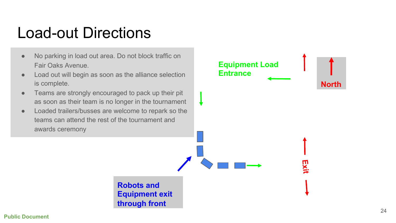### Load-out Directions

- No parking in load out area. Do not block traffic on Fair Oaks Avenue.
- Load out will begin as soon as the alliance selection is complete.
- Teams are strongly encouraged to pack up their pit as soon as their team is no longer in the tournament
- Loaded trailers/busses are welcome to repark so the teams can attend the rest of the tournament and awards ceremony

**Robots and Equipment exit through front**

<span id="page-23-0"></span>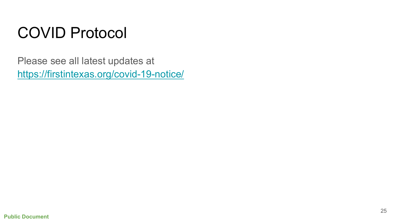### COVID Protocol

Please see all latest updates at <https://firstintexas.org/covid-19-notice/>